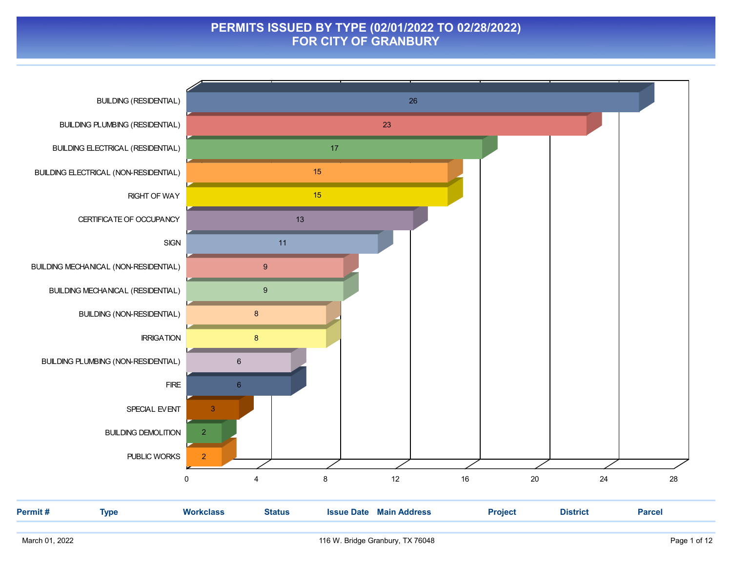### PERMITS ISSUED BY TYPE (02/01/2022 TO 02/28/2022) FOR CITY OF GRANBURY

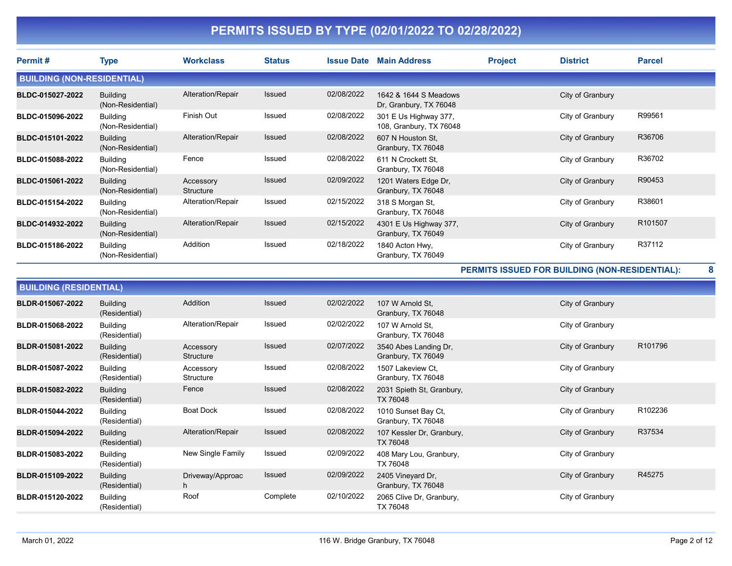| Permit#                           | Type                                 | <b>Workclass</b>       | <b>Status</b> | <b>Issue Date</b> | <b>Main Address</b>                              | <b>Project</b> | <b>District</b>  | <b>Parcel</b> |
|-----------------------------------|--------------------------------------|------------------------|---------------|-------------------|--------------------------------------------------|----------------|------------------|---------------|
| <b>BUILDING (NON-RESIDENTIAL)</b> |                                      |                        |               |                   |                                                  |                |                  |               |
| BLDC-015027-2022                  | <b>Building</b><br>(Non-Residential) | Alteration/Repair      | <b>Issued</b> | 02/08/2022        | 1642 & 1644 S Meadows<br>Dr, Granbury, TX 76048  |                | City of Granbury |               |
| BLDC-015096-2022                  | <b>Building</b><br>(Non-Residential) | Finish Out             | Issued        | 02/08/2022        | 301 E Us Highway 377,<br>108, Granbury, TX 76048 |                | City of Granbury | R99561        |
| BLDC-015101-2022                  | <b>Building</b><br>(Non-Residential) | Alteration/Repair      | Issued        | 02/08/2022        | 607 N Houston St.<br>Granbury, TX 76048          |                | City of Granbury | R36706        |
| BLDC-015088-2022                  | <b>Building</b><br>(Non-Residential) | Fence                  | Issued        | 02/08/2022        | 611 N Crockett St.<br>Granbury, TX 76048         |                | City of Granbury | R36702        |
| BLDC-015061-2022                  | <b>Building</b><br>(Non-Residential) | Accessory<br>Structure | Issued        | 02/09/2022        | 1201 Waters Edge Dr,<br>Granbury, TX 76048       |                | City of Granbury | R90453        |
| BLDC-015154-2022                  | <b>Building</b><br>(Non-Residential) | Alteration/Repair      | Issued        | 02/15/2022        | 318 S Morgan St.<br>Granbury, TX 76048           |                | City of Granbury | R38601        |
| BLDC-014932-2022                  | <b>Building</b><br>(Non-Residential) | Alteration/Repair      | <b>Issued</b> | 02/15/2022        | 4301 E Us Highway 377,<br>Granbury, TX 76049     |                | City of Granbury | R101507       |
| BLDC-015186-2022                  | Building<br>(Non-Residential)        | Addition               | Issued        | 02/18/2022        | 1840 Acton Hwy.<br>Granbury, TX 76049            |                | City of Granbury | R37112        |

PERMITS ISSUED FOR BUILDING (NON-RESIDENTIAL): 8

|                  | <b>BUILDING (RESIDENTIAL)</b>    |                        |          |            |                                             |                  |         |  |  |  |
|------------------|----------------------------------|------------------------|----------|------------|---------------------------------------------|------------------|---------|--|--|--|
| BLDR-015067-2022 | <b>Building</b><br>(Residential) | Addition               | Issued   | 02/02/2022 | 107 W Arnold St,<br>Granbury, TX 76048      | City of Granbury |         |  |  |  |
| BLDR-015068-2022 | <b>Building</b><br>(Residential) | Alteration/Repair      | Issued   | 02/02/2022 | 107 W Arnold St,<br>Granbury, TX 76048      | City of Granbury |         |  |  |  |
| BLDR-015081-2022 | <b>Building</b><br>(Residential) | Accessory<br>Structure | Issued   | 02/07/2022 | 3540 Abes Landing Dr,<br>Granbury, TX 76049 | City of Granbury | R101796 |  |  |  |
| BLDR-015087-2022 | <b>Building</b><br>(Residential) | Accessory<br>Structure | Issued   | 02/08/2022 | 1507 Lakeview Ct,<br>Granbury, TX 76048     | City of Granbury |         |  |  |  |
| BLDR-015082-2022 | <b>Building</b><br>(Residential) | Fence                  | Issued   | 02/08/2022 | 2031 Spieth St, Granbury,<br>TX 76048       | City of Granbury |         |  |  |  |
| BLDR-015044-2022 | <b>Building</b><br>(Residential) | <b>Boat Dock</b>       | Issued   | 02/08/2022 | 1010 Sunset Bay Ct,<br>Granbury, TX 76048   | City of Granbury | R102236 |  |  |  |
| BLDR-015094-2022 | <b>Building</b><br>(Residential) | Alteration/Repair      | Issued   | 02/08/2022 | 107 Kessler Dr, Granbury,<br>TX 76048       | City of Granbury | R37534  |  |  |  |
| BLDR-015083-2022 | <b>Building</b><br>(Residential) | New Single Family      | Issued   | 02/09/2022 | 408 Mary Lou, Granbury,<br>TX 76048         | City of Granbury |         |  |  |  |
| BLDR-015109-2022 | <b>Building</b><br>(Residential) | Driveway/Approac<br>h. | Issued   | 02/09/2022 | 2405 Vineyard Dr,<br>Granbury, TX 76048     | City of Granbury | R45275  |  |  |  |
| BLDR-015120-2022 | Building<br>(Residential)        | Roof                   | Complete | 02/10/2022 | 2065 Clive Dr, Granbury,<br>TX 76048        | City of Granbury |         |  |  |  |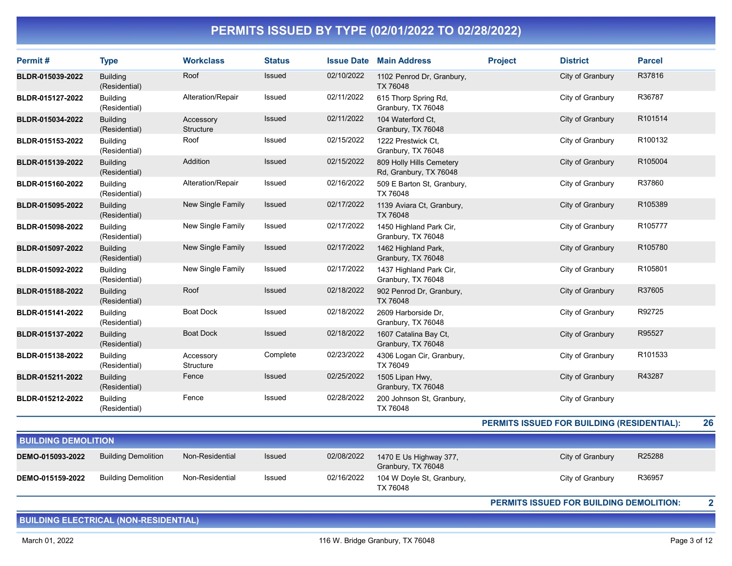| Permit#          | <b>Type</b>                      | <b>Workclass</b>       | <b>Status</b> | <b>Issue Date</b> | <b>Main Address</b>                                | <b>Project</b> | <b>District</b>  | <b>Parcel</b> |
|------------------|----------------------------------|------------------------|---------------|-------------------|----------------------------------------------------|----------------|------------------|---------------|
| BLDR-015039-2022 | <b>Building</b><br>(Residential) | Roof                   | Issued        | 02/10/2022        | 1102 Penrod Dr, Granbury,<br>TX 76048              |                | City of Granbury | R37816        |
| BLDR-015127-2022 | <b>Building</b><br>(Residential) | Alteration/Repair      | Issued        | 02/11/2022        | 615 Thorp Spring Rd,<br>Granbury, TX 76048         |                | City of Granbury | R36787        |
| BLDR-015034-2022 | <b>Building</b><br>(Residential) | Accessory<br>Structure | <b>Issued</b> | 02/11/2022        | 104 Waterford Ct,<br>Granbury, TX 76048            |                | City of Granbury | R101514       |
| BLDR-015153-2022 | <b>Building</b><br>(Residential) | Roof                   | Issued        | 02/15/2022        | 1222 Prestwick Ct.<br>Granbury, TX 76048           |                | City of Granbury | R100132       |
| BLDR-015139-2022 | <b>Building</b><br>(Residential) | Addition               | Issued        | 02/15/2022        | 809 Holly Hills Cemetery<br>Rd, Granbury, TX 76048 |                | City of Granbury | R105004       |
| BLDR-015160-2022 | <b>Building</b><br>(Residential) | Alteration/Repair      | Issued        | 02/16/2022        | 509 E Barton St, Granbury,<br>TX 76048             |                | City of Granbury | R37860        |
| BLDR-015095-2022 | <b>Building</b><br>(Residential) | New Single Family      | Issued        | 02/17/2022        | 1139 Aviara Ct, Granbury,<br>TX 76048              |                | City of Granbury | R105389       |
| BLDR-015098-2022 | <b>Building</b><br>(Residential) | New Single Family      | Issued        | 02/17/2022        | 1450 Highland Park Cir,<br>Granbury, TX 76048      |                | City of Granbury | R105777       |
| BLDR-015097-2022 | <b>Building</b><br>(Residential) | New Single Family      | Issued        | 02/17/2022        | 1462 Highland Park,<br>Granbury, TX 76048          |                | City of Granbury | R105780       |
| BLDR-015092-2022 | <b>Building</b><br>(Residential) | New Single Family      | Issued        | 02/17/2022        | 1437 Highland Park Cir,<br>Granbury, TX 76048      |                | City of Granbury | R105801       |
| BLDR-015188-2022 | <b>Building</b><br>(Residential) | Roof                   | Issued        | 02/18/2022        | 902 Penrod Dr, Granbury,<br>TX 76048               |                | City of Granbury | R37605        |
| BLDR-015141-2022 | Building<br>(Residential)        | <b>Boat Dock</b>       | Issued        | 02/18/2022        | 2609 Harborside Dr.<br>Granbury, TX 76048          |                | City of Granbury | R92725        |
| BLDR-015137-2022 | <b>Building</b><br>(Residential) | <b>Boat Dock</b>       | Issued        | 02/18/2022        | 1607 Catalina Bay Ct,<br>Granbury, TX 76048        |                | City of Granbury | R95527        |
| BLDR-015138-2022 | <b>Building</b><br>(Residential) | Accessory<br>Structure | Complete      | 02/23/2022        | 4306 Logan Cir, Granbury,<br>TX 76049              |                | City of Granbury | R101533       |
| BLDR-015211-2022 | <b>Building</b><br>(Residential) | Fence                  | Issued        | 02/25/2022        | 1505 Lipan Hwy,<br>Granbury, TX 76048              |                | City of Granbury | R43287        |
| BLDR-015212-2022 | <b>Building</b><br>(Residential) | Fence                  | Issued        | 02/28/2022        | 200 Johnson St, Granbury,<br>TX 76048              |                | City of Granbury |               |

PERMITS ISSUED FOR BUILDING (RESIDENTIAL): 26

| <b>BUILDING DEMOLITION</b> |                            |                 |               |            |                                              |                  |        |  |  |  |
|----------------------------|----------------------------|-----------------|---------------|------------|----------------------------------------------|------------------|--------|--|--|--|
| DEMO-015093-2022           | <b>Building Demolition</b> | Non-Residential | <b>Issued</b> | 02/08/2022 | 1470 E Us Highway 377,<br>Granbury, TX 76048 | City of Granbury | R25288 |  |  |  |
| DEMO-015159-2022           | <b>Building Demolition</b> | Non-Residential | Issued        | 02/16/2022 | 104 W Doyle St, Granbury,<br>TX 76048        | City of Granbury | R36957 |  |  |  |

PERMITS ISSUED FOR BUILDING DEMOLITION: 2

BUILDING ELECTRICAL (NON-RESIDENTIAL)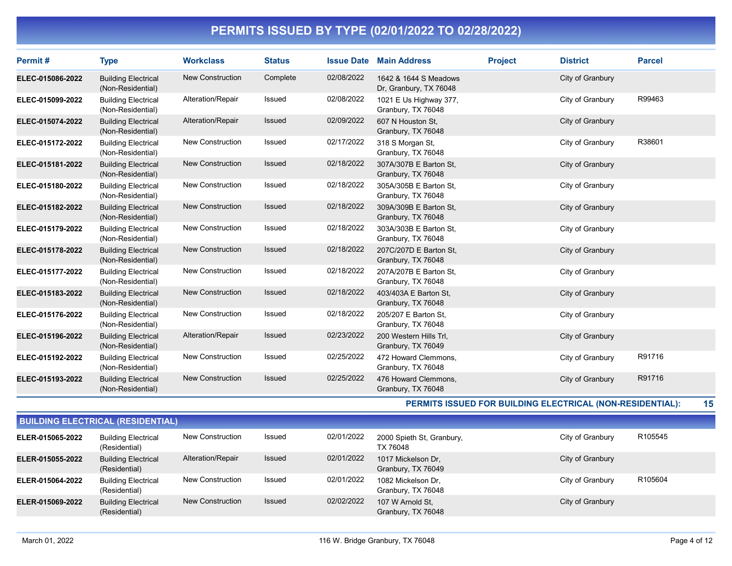| Permit#          | <b>Type</b>                                     | <b>Workclass</b>        | <b>Status</b> | <b>Issue Date</b> | <b>Main Address</b>                             | <b>Project</b> | <b>District</b>  | <b>Parcel</b> |
|------------------|-------------------------------------------------|-------------------------|---------------|-------------------|-------------------------------------------------|----------------|------------------|---------------|
| ELEC-015086-2022 | <b>Building Electrical</b><br>(Non-Residential) | New Construction        | Complete      | 02/08/2022        | 1642 & 1644 S Meadows<br>Dr, Granbury, TX 76048 |                | City of Granbury |               |
| ELEC-015099-2022 | <b>Building Electrical</b><br>(Non-Residential) | Alteration/Repair       | <b>Issued</b> | 02/08/2022        | 1021 E Us Highway 377,<br>Granbury, TX 76048    |                | City of Granbury | R99463        |
| ELEC-015074-2022 | <b>Building Electrical</b><br>(Non-Residential) | Alteration/Repair       | Issued        | 02/09/2022        | 607 N Houston St.<br>Granbury, TX 76048         |                | City of Granbury |               |
| ELEC-015172-2022 | <b>Building Electrical</b><br>(Non-Residential) | <b>New Construction</b> | <b>Issued</b> | 02/17/2022        | 318 S Morgan St,<br>Granbury, TX 76048          |                | City of Granbury | R38601        |
| ELEC-015181-2022 | <b>Building Electrical</b><br>(Non-Residential) | <b>New Construction</b> | Issued        | 02/18/2022        | 307A/307B E Barton St.<br>Granbury, TX 76048    |                | City of Granbury |               |
| ELEC-015180-2022 | <b>Building Electrical</b><br>(Non-Residential) | New Construction        | Issued        | 02/18/2022        | 305A/305B E Barton St.<br>Granbury, TX 76048    |                | City of Granbury |               |
| ELEC-015182-2022 | <b>Building Electrical</b><br>(Non-Residential) | <b>New Construction</b> | Issued        | 02/18/2022        | 309A/309B E Barton St.<br>Granbury, TX 76048    |                | City of Granbury |               |
| ELEC-015179-2022 | <b>Building Electrical</b><br>(Non-Residential) | <b>New Construction</b> | <b>Issued</b> | 02/18/2022        | 303A/303B E Barton St,<br>Granbury, TX 76048    |                | City of Granbury |               |
| ELEC-015178-2022 | <b>Building Electrical</b><br>(Non-Residential) | <b>New Construction</b> | Issued        | 02/18/2022        | 207C/207D E Barton St.<br>Granbury, TX 76048    |                | City of Granbury |               |
| ELEC-015177-2022 | <b>Building Electrical</b><br>(Non-Residential) | <b>New Construction</b> | Issued        | 02/18/2022        | 207A/207B E Barton St,<br>Granbury, TX 76048    |                | City of Granbury |               |
| ELEC-015183-2022 | <b>Building Electrical</b><br>(Non-Residential) | New Construction        | Issued        | 02/18/2022        | 403/403A E Barton St,<br>Granbury, TX 76048     |                | City of Granbury |               |
| ELEC-015176-2022 | <b>Building Electrical</b><br>(Non-Residential) | <b>New Construction</b> | <b>Issued</b> | 02/18/2022        | 205/207 E Barton St,<br>Granbury, TX 76048      |                | City of Granbury |               |
| ELEC-015196-2022 | <b>Building Electrical</b><br>(Non-Residential) | Alteration/Repair       | Issued        | 02/23/2022        | 200 Western Hills Trl,<br>Granbury, TX 76049    |                | City of Granbury |               |
| ELEC-015192-2022 | <b>Building Electrical</b><br>(Non-Residential) | New Construction        | Issued        | 02/25/2022        | 472 Howard Clemmons,<br>Granbury, TX 76048      |                | City of Granbury | R91716        |
| ELEC-015193-2022 | <b>Building Electrical</b><br>(Non-Residential) | <b>New Construction</b> | <b>Issued</b> | 02/25/2022        | 476 Howard Clemmons.<br>Granbury, TX 76048      |                | City of Granbury | R91716        |

PERMITS ISSUED FOR BUILDING ELECTRICAL (NON-RESIDENTIAL): 15

| <b>BUILDING ELECTRICAL (RESIDENTIAL)</b> |                                             |                          |               |            |                                          |                  |         |  |  |  |
|------------------------------------------|---------------------------------------------|--------------------------|---------------|------------|------------------------------------------|------------------|---------|--|--|--|
| ELER-015065-2022                         | <b>Building Electrical</b><br>(Residential) | <b>New Construction</b>  | Issued        | 02/01/2022 | 2000 Spieth St, Granbury,<br>TX 76048    | City of Granbury | R105545 |  |  |  |
| ELER-015055-2022                         | <b>Building Electrical</b><br>(Residential) | <b>Alteration/Repair</b> | <b>Issued</b> | 02/01/2022 | 1017 Mickelson Dr.<br>Granbury, TX 76049 | City of Granbury |         |  |  |  |
| ELER-015064-2022                         | <b>Building Electrical</b><br>(Residential) | <b>New Construction</b>  | Issued        | 02/01/2022 | 1082 Mickelson Dr.<br>Granbury, TX 76048 | City of Granbury | R105604 |  |  |  |
| ELER-015069-2022                         | <b>Building Electrical</b><br>(Residential) | <b>New Construction</b>  | <b>Issued</b> | 02/02/2022 | 107 W Arnold St.<br>Granbury, TX 76048   | City of Granbury |         |  |  |  |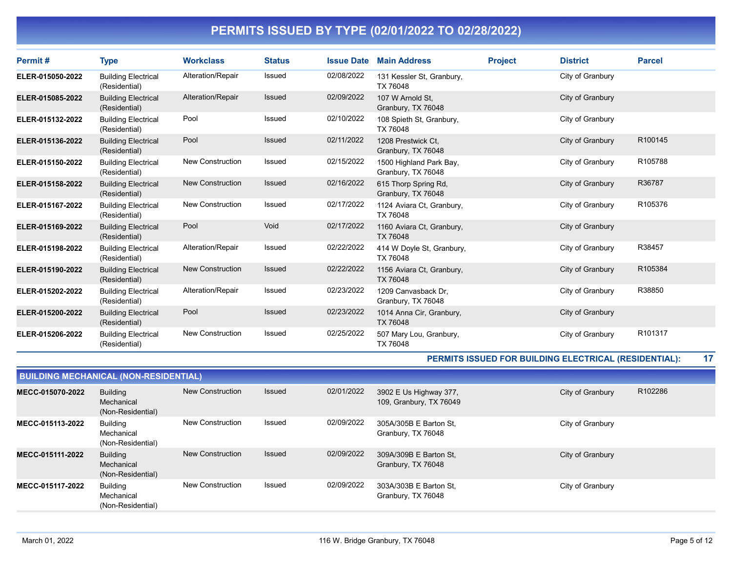| Permit#          | <b>Type</b>                                 | <b>Workclass</b>        | <b>Status</b> | <b>Issue Date</b> | <b>Main Address</b>                           | <b>Project</b> | <b>District</b>  | <b>Parcel</b> |
|------------------|---------------------------------------------|-------------------------|---------------|-------------------|-----------------------------------------------|----------------|------------------|---------------|
| ELER-015050-2022 | <b>Building Electrical</b><br>(Residential) | Alteration/Repair       | Issued        | 02/08/2022        | 131 Kessler St, Granbury,<br>TX 76048         |                | City of Granbury |               |
| ELER-015085-2022 | <b>Building Electrical</b><br>(Residential) | Alteration/Repair       | <b>Issued</b> | 02/09/2022        | 107 W Arnold St,<br>Granbury, TX 76048        |                | City of Granbury |               |
| ELER-015132-2022 | <b>Building Electrical</b><br>(Residential) | Pool                    | <b>Issued</b> | 02/10/2022        | 108 Spieth St, Granbury,<br>TX 76048          |                | City of Granbury |               |
| ELER-015136-2022 | <b>Building Electrical</b><br>(Residential) | Pool                    | Issued        | 02/11/2022        | 1208 Prestwick Ct.<br>Granbury, TX 76048      |                | City of Granbury | R100145       |
| ELER-015150-2022 | <b>Building Electrical</b><br>(Residential) | <b>New Construction</b> | <b>Issued</b> | 02/15/2022        | 1500 Highland Park Bay,<br>Granbury, TX 76048 |                | City of Granbury | R105788       |
| ELER-015158-2022 | <b>Building Electrical</b><br>(Residential) | <b>New Construction</b> | Issued        | 02/16/2022        | 615 Thorp Spring Rd,<br>Granbury, TX 76048    |                | City of Granbury | R36787        |
| ELER-015167-2022 | <b>Building Electrical</b><br>(Residential) | <b>New Construction</b> | <b>Issued</b> | 02/17/2022        | 1124 Aviara Ct, Granbury,<br>TX 76048         |                | City of Granbury | R105376       |
| ELER-015169-2022 | <b>Building Electrical</b><br>(Residential) | Pool                    | Void          | 02/17/2022        | 1160 Aviara Ct, Granbury,<br>TX 76048         |                | City of Granbury |               |
| ELER-015198-2022 | <b>Building Electrical</b><br>(Residential) | Alteration/Repair       | Issued        | 02/22/2022        | 414 W Doyle St, Granbury,<br>TX 76048         |                | City of Granbury | R38457        |
| ELER-015190-2022 | <b>Building Electrical</b><br>(Residential) | <b>New Construction</b> | Issued        | 02/22/2022        | 1156 Aviara Ct, Granbury,<br>TX 76048         |                | City of Granbury | R105384       |
| ELER-015202-2022 | <b>Building Electrical</b><br>(Residential) | Alteration/Repair       | Issued        | 02/23/2022        | 1209 Canvasback Dr.<br>Granbury, TX 76048     |                | City of Granbury | R38850        |
| ELER-015200-2022 | <b>Building Electrical</b><br>(Residential) | Pool                    | <b>Issued</b> | 02/23/2022        | 1014 Anna Cir, Granbury,<br>TX 76048          |                | City of Granbury |               |
| ELER-015206-2022 | <b>Building Electrical</b><br>(Residential) | <b>New Construction</b> | <b>Issued</b> | 02/25/2022        | 507 Mary Lou, Granbury,<br>TX 76048           |                | City of Granbury | R101317       |

### PERMITS ISSUED FOR BUILDING ELECTRICAL (RESIDENTIAL): 17

| <b>BUILDING MECHANICAL (NON-RESIDENTIAL)</b> |                                                    |                         |               |            |                                                   |                  |         |  |  |  |
|----------------------------------------------|----------------------------------------------------|-------------------------|---------------|------------|---------------------------------------------------|------------------|---------|--|--|--|
| MECC-015070-2022                             | <b>Building</b><br>Mechanical<br>(Non-Residential) | New Construction        | <b>Issued</b> | 02/01/2022 | 3902 E Us Highway 377,<br>109, Granbury, TX 76049 | City of Granbury | R102286 |  |  |  |
| MECC-015113-2022                             | Building<br>Mechanical<br>(Non-Residential)        | <b>New Construction</b> | Issued        | 02/09/2022 | 305A/305B E Barton St,<br>Granbury, TX 76048      | City of Granbury |         |  |  |  |
| MECC-015111-2022                             | <b>Building</b><br>Mechanical<br>(Non-Residential) | <b>New Construction</b> | Issued        | 02/09/2022 | 309A/309B E Barton St,<br>Granbury, TX 76048      | City of Granbury |         |  |  |  |
| MECC-015117-2022                             | <b>Building</b><br>Mechanical<br>(Non-Residential) | <b>New Construction</b> | Issued        | 02/09/2022 | 303A/303B E Barton St,<br>Granbury, TX 76048      | City of Granbury |         |  |  |  |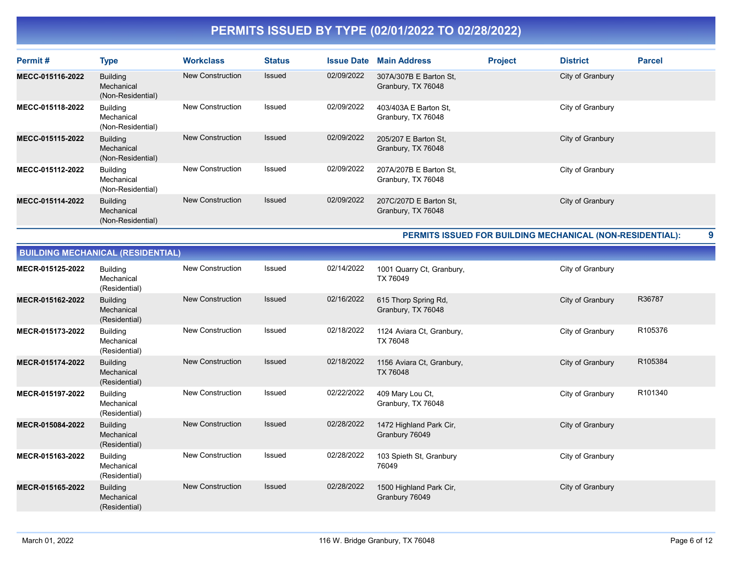| Permit#          | <b>Type</b>                                        | <b>Workclass</b>        | <b>Status</b> | <b>Issue Date</b> | <b>Main Address</b>                          | <b>Project</b> | <b>District</b>  | <b>Parcel</b> |
|------------------|----------------------------------------------------|-------------------------|---------------|-------------------|----------------------------------------------|----------------|------------------|---------------|
| MECC-015116-2022 | <b>Building</b><br>Mechanical<br>(Non-Residential) | New Construction        | Issued        | 02/09/2022        | 307A/307B E Barton St,<br>Granbury, TX 76048 |                | City of Granbury |               |
| MECC-015118-2022 | <b>Building</b><br>Mechanical<br>(Non-Residential) | New Construction        | Issued        | 02/09/2022        | 403/403A E Barton St,<br>Granbury, TX 76048  |                | City of Granbury |               |
| MECC-015115-2022 | <b>Building</b><br>Mechanical<br>(Non-Residential) | <b>New Construction</b> | <b>Issued</b> | 02/09/2022        | 205/207 E Barton St,<br>Granbury, TX 76048   |                | City of Granbury |               |
| MECC-015112-2022 | Building<br>Mechanical<br>(Non-Residential)        | New Construction        | Issued        | 02/09/2022        | 207A/207B E Barton St,<br>Granbury, TX 76048 |                | City of Granbury |               |
| MECC-015114-2022 | <b>Building</b><br>Mechanical<br>(Non-Residential) | <b>New Construction</b> | <b>Issued</b> | 02/09/2022        | 207C/207D E Barton St,<br>Granbury, TX 76048 |                | City of Granbury |               |

PERMITS ISSUED FOR BUILDING MECHANICAL (NON-RESIDENTIAL): 9

| <b>BUILDING MECHANICAL (RESIDENTIAL)</b> |                                                |                         |               |            |                                              |                  |         |  |  |  |
|------------------------------------------|------------------------------------------------|-------------------------|---------------|------------|----------------------------------------------|------------------|---------|--|--|--|
| MECR-015125-2022                         | <b>Building</b><br>Mechanical<br>(Residential) | <b>New Construction</b> | Issued        | 02/14/2022 | 1001 Quarry Ct, Granbury,<br>TX 76049        | City of Granbury |         |  |  |  |
| MECR-015162-2022                         | <b>Building</b><br>Mechanical<br>(Residential) | <b>New Construction</b> | <b>Issued</b> | 02/16/2022 | 615 Thorp Spring Rd,<br>Granbury, TX 76048   | City of Granbury | R36787  |  |  |  |
| MECR-015173-2022                         | <b>Building</b><br>Mechanical<br>(Residential) | <b>New Construction</b> | <b>Issued</b> | 02/18/2022 | 1124 Aviara Ct, Granbury,<br>TX 76048        | City of Granbury | R105376 |  |  |  |
| MECR-015174-2022                         | <b>Building</b><br>Mechanical<br>(Residential) | <b>New Construction</b> | <b>Issued</b> | 02/18/2022 | 1156 Aviara Ct, Granbury,<br><b>TX 76048</b> | City of Granbury | R105384 |  |  |  |
| MECR-015197-2022                         | <b>Building</b><br>Mechanical<br>(Residential) | <b>New Construction</b> | <b>Issued</b> | 02/22/2022 | 409 Mary Lou Ct,<br>Granbury, TX 76048       | City of Granbury | R101340 |  |  |  |
| MECR-015084-2022                         | <b>Building</b><br>Mechanical<br>(Residential) | <b>New Construction</b> | <b>Issued</b> | 02/28/2022 | 1472 Highland Park Cir,<br>Granbury 76049    | City of Granbury |         |  |  |  |
| MECR-015163-2022                         | <b>Building</b><br>Mechanical<br>(Residential) | <b>New Construction</b> | <b>Issued</b> | 02/28/2022 | 103 Spieth St, Granbury<br>76049             | City of Granbury |         |  |  |  |
| MECR-015165-2022                         | <b>Building</b><br>Mechanical<br>(Residential) | <b>New Construction</b> | <b>Issued</b> | 02/28/2022 | 1500 Highland Park Cir,<br>Granbury 76049    | City of Granbury |         |  |  |  |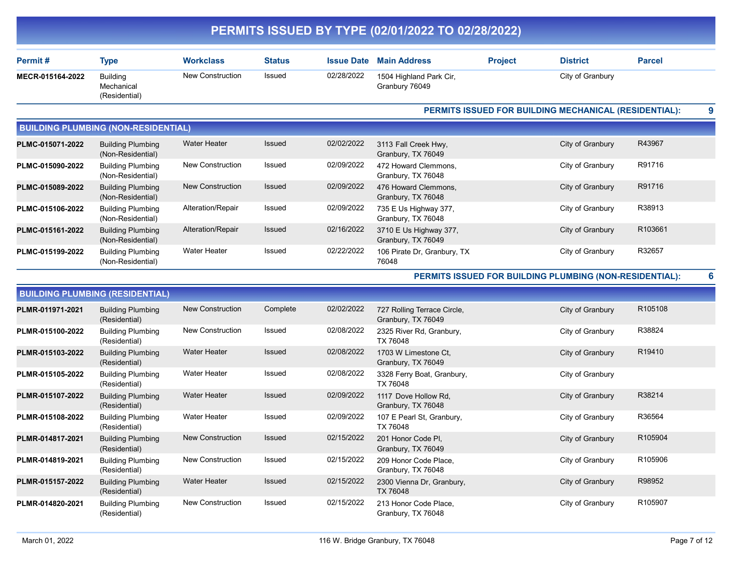|                  |                                                |                         |               |                   | PERMITS ISSUED BY TYPE (02/01/2022 TO 02/28/2022) |                |                                                         |                     |  |
|------------------|------------------------------------------------|-------------------------|---------------|-------------------|---------------------------------------------------|----------------|---------------------------------------------------------|---------------------|--|
| Permit#          | <b>Type</b>                                    | <b>Workclass</b>        | <b>Status</b> | <b>Issue Date</b> | <b>Main Address</b>                               | <b>Project</b> | <b>District</b>                                         | <b>Parcel</b>       |  |
| MECR-015164-2022 | <b>Building</b><br>Mechanical<br>(Residential) | New Construction        | Issued        | 02/28/2022        | 1504 Highland Park Cir,<br>Granbury 76049         |                | City of Granbury                                        |                     |  |
|                  |                                                |                         |               |                   |                                                   |                | PERMITS ISSUED FOR BUILDING MECHANICAL (RESIDENTIAL):   |                     |  |
|                  | <b>BUILDING PLUMBING (NON-RESIDENTIAL)</b>     |                         |               |                   |                                                   |                |                                                         |                     |  |
| PLMC-015071-2022 | <b>Building Plumbing</b><br>(Non-Residential)  | <b>Water Heater</b>     | Issued        | 02/02/2022        | 3113 Fall Creek Hwy,<br>Granbury, TX 76049        |                | City of Granbury                                        | R43967              |  |
| PLMC-015090-2022 | <b>Building Plumbing</b><br>(Non-Residential)  | New Construction        | Issued        | 02/09/2022        | 472 Howard Clemmons,<br>Granbury, TX 76048        |                | City of Granbury                                        | R91716              |  |
| PLMC-015089-2022 | <b>Building Plumbing</b><br>(Non-Residential)  | New Construction        | Issued        | 02/09/2022        | 476 Howard Clemmons,<br>Granbury, TX 76048        |                | City of Granbury                                        | R91716              |  |
| PLMC-015106-2022 | <b>Building Plumbing</b><br>(Non-Residential)  | Alteration/Repair       | Issued        | 02/09/2022        | 735 E Us Highway 377,<br>Granbury, TX 76048       |                | City of Granbury                                        | R38913              |  |
| PLMC-015161-2022 | <b>Building Plumbing</b><br>(Non-Residential)  | Alteration/Repair       | Issued        | 02/16/2022        | 3710 E Us Highway 377,<br>Granbury, TX 76049      |                | City of Granbury                                        | R103661             |  |
| PLMC-015199-2022 | <b>Building Plumbing</b><br>(Non-Residential)  | <b>Water Heater</b>     | Issued        | 02/22/2022        | 106 Pirate Dr, Granbury, TX<br>76048              |                | City of Granbury                                        | R32657              |  |
|                  |                                                |                         |               |                   |                                                   |                | PERMITS ISSUED FOR BUILDING PLUMBING (NON-RESIDENTIAL): |                     |  |
|                  | <b>BUILDING PLUMBING (RESIDENTIAL)</b>         |                         |               |                   |                                                   |                |                                                         |                     |  |
| PLMR-011971-2021 | <b>Building Plumbing</b><br>(Residential)      | <b>New Construction</b> | Complete      | 02/02/2022        | 727 Rolling Terrace Circle,<br>Granbury, TX 76049 |                | City of Granbury                                        | R <sub>105108</sub> |  |
| PLMR-015100-2022 | <b>Building Plumbing</b><br>(Residential)      | New Construction        | Issued        | 02/08/2022        | 2325 River Rd, Granbury,<br>TX 76048              |                | City of Granbury                                        | R38824              |  |
| PLMR-015103-2022 | <b>Building Plumbing</b><br>(Residential)      | <b>Water Heater</b>     | Issued        | 02/08/2022        | 1703 W Limestone Ct,<br>Granbury, TX 76049        |                | City of Granbury                                        | R19410              |  |
| PLMR-015105-2022 | <b>Building Plumbing</b><br>(Residential)      | <b>Water Heater</b>     | Issued        | 02/08/2022        | 3328 Ferry Boat, Granbury,<br>TX 76048            |                | City of Granbury                                        |                     |  |
| PLMR-015107-2022 | <b>Building Plumbing</b><br>(Residential)      | <b>Water Heater</b>     | Issued        | 02/09/2022        | 1117 Dove Hollow Rd,<br>Granbury, TX 76048        |                | City of Granbury                                        | R38214              |  |
| PLMR-015108-2022 | <b>Building Plumbing</b><br>(Residential)      | <b>Water Heater</b>     | Issued        | 02/09/2022        | 107 E Pearl St, Granbury,<br>TX 76048             |                | City of Granbury                                        | R36564              |  |
| PLMR-014817-2021 | <b>Building Plumbing</b><br>(Residential)      | New Construction        | Issued        | 02/15/2022        | 201 Honor Code PI,<br>Granbury, TX 76049          |                | City of Granbury                                        | R105904             |  |
| PLMR-014819-2021 | <b>Building Plumbing</b><br>(Residential)      | New Construction        | Issued        | 02/15/2022        | 209 Honor Code Place.<br>Granbury, TX 76048       |                | City of Granbury                                        | R105906             |  |
| PLMR-015157-2022 | <b>Building Plumbing</b><br>(Residential)      | Water Heater            | <b>Issued</b> | 02/15/2022        | 2300 Vienna Dr, Granbury,<br>TX 76048             |                | City of Granbury                                        | R98952              |  |
| PLMR-014820-2021 | <b>Building Plumbing</b><br>(Residential)      | New Construction        | Issued        | 02/15/2022        | 213 Honor Code Place,<br>Granbury, TX 76048       |                | City of Granbury                                        | R105907             |  |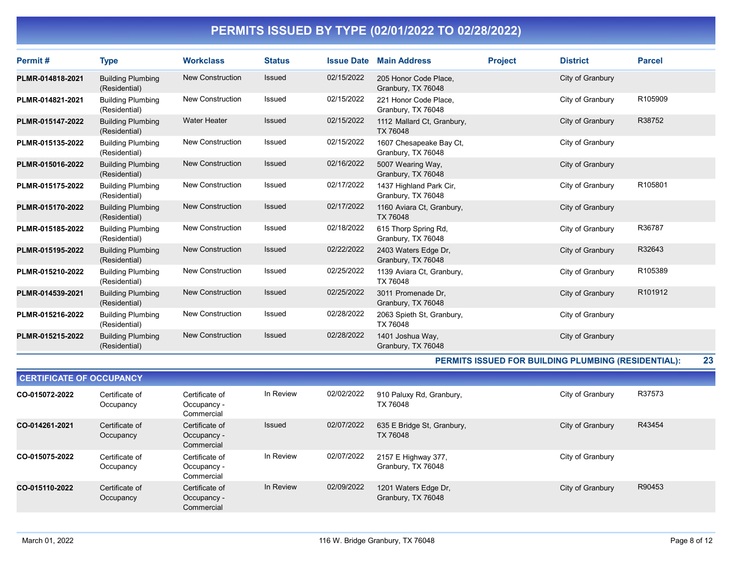| Permit#          | <b>Type</b>                               | <b>Workclass</b>        | <b>Status</b> | <b>Issue Date</b> | <b>Main Address</b>                           | <b>Project</b> | <b>District</b>  | <b>Parcel</b> |
|------------------|-------------------------------------------|-------------------------|---------------|-------------------|-----------------------------------------------|----------------|------------------|---------------|
| PLMR-014818-2021 | <b>Building Plumbing</b><br>(Residential) | New Construction        | Issued        | 02/15/2022        | 205 Honor Code Place,<br>Granbury, TX 76048   |                | City of Granbury |               |
| PLMR-014821-2021 | <b>Building Plumbing</b><br>(Residential) | New Construction        | <b>Issued</b> | 02/15/2022        | 221 Honor Code Place.<br>Granbury, TX 76048   |                | City of Granbury | R105909       |
| PLMR-015147-2022 | <b>Building Plumbing</b><br>(Residential) | <b>Water Heater</b>     | Issued        | 02/15/2022        | 1112 Mallard Ct, Granbury,<br>TX 76048        |                | City of Granbury | R38752        |
| PLMR-015135-2022 | <b>Building Plumbing</b><br>(Residential) | <b>New Construction</b> | Issued        | 02/15/2022        | 1607 Chesapeake Bay Ct,<br>Granbury, TX 76048 |                | City of Granbury |               |
| PLMR-015016-2022 | <b>Building Plumbing</b><br>(Residential) | New Construction        | Issued        | 02/16/2022        | 5007 Wearing Way,<br>Granbury, TX 76048       |                | City of Granbury |               |
| PLMR-015175-2022 | <b>Building Plumbing</b><br>(Residential) | New Construction        | Issued        | 02/17/2022        | 1437 Highland Park Cir,<br>Granbury, TX 76048 |                | City of Granbury | R105801       |
| PLMR-015170-2022 | <b>Building Plumbing</b><br>(Residential) | <b>New Construction</b> | <b>Issued</b> | 02/17/2022        | 1160 Aviara Ct, Granbury,<br>TX 76048         |                | City of Granbury |               |
| PLMR-015185-2022 | <b>Building Plumbing</b><br>(Residential) | <b>New Construction</b> | Issued        | 02/18/2022        | 615 Thorp Spring Rd,<br>Granbury, TX 76048    |                | City of Granbury | R36787        |
| PLMR-015195-2022 | <b>Building Plumbing</b><br>(Residential) | <b>New Construction</b> | Issued        | 02/22/2022        | 2403 Waters Edge Dr.<br>Granbury, TX 76048    |                | City of Granbury | R32643        |
| PLMR-015210-2022 | <b>Building Plumbing</b><br>(Residential) | New Construction        | <b>Issued</b> | 02/25/2022        | 1139 Aviara Ct, Granbury,<br>TX 76048         |                | City of Granbury | R105389       |
| PLMR-014539-2021 | <b>Building Plumbing</b><br>(Residential) | <b>New Construction</b> | Issued        | 02/25/2022        | 3011 Promenade Dr.<br>Granbury, TX 76048      |                | City of Granbury | R101912       |
| PLMR-015216-2022 | <b>Building Plumbing</b><br>(Residential) | New Construction        | <b>Issued</b> | 02/28/2022        | 2063 Spieth St, Granbury,<br>TX 76048         |                | City of Granbury |               |
| PLMR-015215-2022 | <b>Building Plumbing</b><br>(Residential) | <b>New Construction</b> | <b>Issued</b> | 02/28/2022        | 1401 Joshua Way,<br>Granbury, TX 76048        |                | City of Granbury |               |

#### PERMITS ISSUED FOR BUILDING PLUMBING (RESIDENTIAL): 23

| <b>CERTIFICATE OF OCCUPANCY</b> |                             |                                             |               |            |                                            |                  |        |  |  |
|---------------------------------|-----------------------------|---------------------------------------------|---------------|------------|--------------------------------------------|------------------|--------|--|--|
| CO-015072-2022                  | Certificate of<br>Occupancy | Certificate of<br>Occupancy -<br>Commercial | In Review     | 02/02/2022 | 910 Paluxy Rd, Granbury,<br>TX 76048       | City of Granbury | R37573 |  |  |
| CO-014261-2021                  | Certificate of<br>Occupancy | Certificate of<br>Occupancy -<br>Commercial | <b>Issued</b> | 02/07/2022 | 635 E Bridge St, Granbury,<br>TX 76048     | City of Granbury | R43454 |  |  |
| CO-015075-2022                  | Certificate of<br>Occupancy | Certificate of<br>Occupancy -<br>Commercial | In Review     | 02/07/2022 | 2157 E Highway 377,<br>Granbury, TX 76048  | City of Granbury |        |  |  |
| CO-015110-2022                  | Certificate of<br>Occupancy | Certificate of<br>Occupancy -<br>Commercial | In Review     | 02/09/2022 | 1201 Waters Edge Dr,<br>Granbury, TX 76048 | City of Granbury | R90453 |  |  |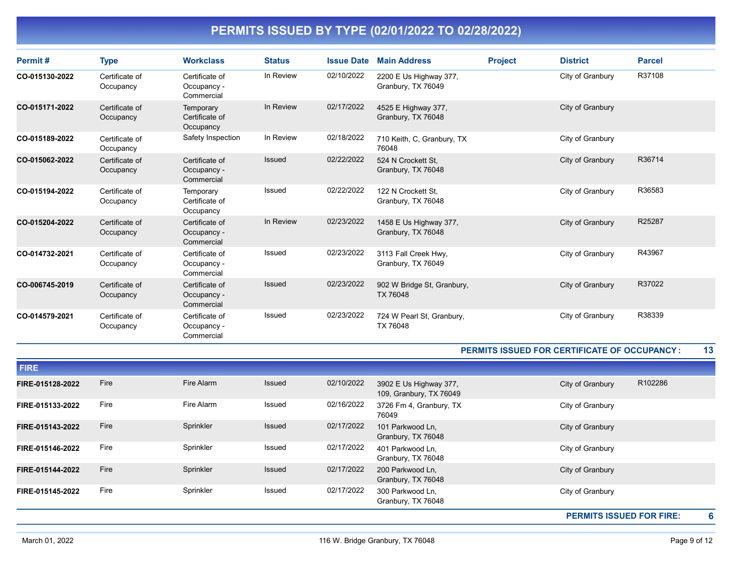| Permit#        | <b>Type</b>                 | <b>Workclass</b>                            | <b>Status</b> | <b>Issue Date</b> | <b>Main Address</b>                           | <b>Project</b> | <b>District</b>  | <b>Parcel</b> |
|----------------|-----------------------------|---------------------------------------------|---------------|-------------------|-----------------------------------------------|----------------|------------------|---------------|
| CO-015130-2022 | Certificate of<br>Occupancy | Certificate of<br>Occupancy -<br>Commercial | In Review     | 02/10/2022        | 2200 E Us Highway 377,<br>Granbury, TX 76049  |                | City of Granbury | R37108        |
| CO-015171-2022 | Certificate of<br>Occupancy | Temporary<br>Certificate of<br>Occupancy    | In Review     | 02/17/2022        | 4525 E Highway 377,<br>Granbury, TX 76048     |                | City of Granbury |               |
| CO-015189-2022 | Certificate of<br>Occupancy | Safety Inspection                           | In Review     | 02/18/2022        | 710 Keith, C, Granbury, TX<br>76048           |                | City of Granbury |               |
| CO-015062-2022 | Certificate of<br>Occupancy | Certificate of<br>Occupancy -<br>Commercial | <b>Issued</b> | 02/22/2022        | 524 N Crockett St.<br>Granbury, TX 76048      |                | City of Granbury | R36714        |
| CO-015194-2022 | Certificate of<br>Occupancy | Temporary<br>Certificate of<br>Occupancy    | <b>Issued</b> | 02/22/2022        | 122 N Crockett St.<br>Granbury, TX 76048      |                | City of Granbury | R36583        |
| CO-015204-2022 | Certificate of<br>Occupancy | Certificate of<br>Occupancy -<br>Commercial | In Review     | 02/23/2022        | 1458 E Us Highway 377,<br>Granbury, TX 76048  |                | City of Granbury | R25287        |
| CO-014732-2021 | Certificate of<br>Occupancy | Certificate of<br>Occupancy -<br>Commercial | Issued        | 02/23/2022        | 3113 Fall Creek Hwy,<br>Granbury, TX 76049    |                | City of Granbury | R43967        |
| CO-006745-2019 | Certificate of<br>Occupancy | Certificate of<br>Occupancy -<br>Commercial | Issued        | 02/23/2022        | 902 W Bridge St, Granbury,<br><b>TX 76048</b> |                | City of Granbury | R37022        |
| CO-014579-2021 | Certificate of<br>Occupancy | Certificate of<br>Occupancy -<br>Commercial | Issued        | 02/23/2022        | 724 W Pearl St, Granbury,<br>TX 76048         |                | City of Granbury | R38339        |

#### PERMITS ISSUED FOR CERTIFICATE OF OCCUPANCY : 13

| FIRE-015145-2022 | Fire | Sprinkler  | Issued        | 02/17/2022 | 300 Parkwood Ln,<br>Granbury, TX 76048            | City of Granbury |         |
|------------------|------|------------|---------------|------------|---------------------------------------------------|------------------|---------|
| FIRE-015144-2022 | Fire | Sprinkler  | <b>Issued</b> | 02/17/2022 | 200 Parkwood Ln,<br>Granbury, TX 76048            | City of Granbury |         |
| FIRE-015146-2022 | Fire | Sprinkler  | Issued        | 02/17/2022 | 401 Parkwood Ln,<br>Granbury, TX 76048            | City of Granbury |         |
| FIRE-015143-2022 | Fire | Sprinkler  | Issued        | 02/17/2022 | 101 Parkwood Ln,<br>Granbury, TX 76048            | City of Granbury |         |
| FIRE-015133-2022 | Fire | Fire Alarm | Issued        | 02/16/2022 | 3726 Fm 4, Granbury, TX<br>76049                  | City of Granbury |         |
| FIRE-015128-2022 | Fire | Fire Alarm | Issued        | 02/10/2022 | 3902 E Us Highway 377,<br>109, Granbury, TX 76049 | City of Granbury | R102286 |
| <b>FIRE</b>      |      |            |               |            |                                                   |                  |         |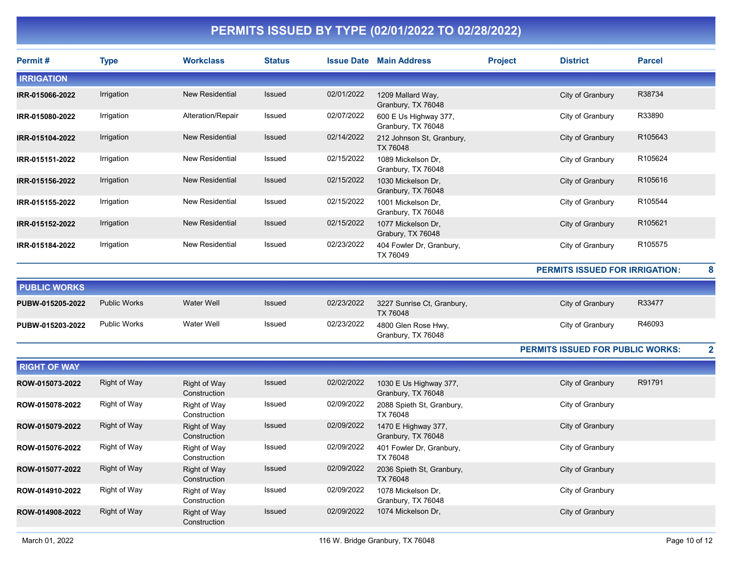| Permit#             | <b>Type</b>         | <b>Workclass</b>                    | <b>Status</b> |            | <b>Issue Date Main Address</b>               | <b>Project</b> | <b>District</b>                         | <b>Parcel</b>           |
|---------------------|---------------------|-------------------------------------|---------------|------------|----------------------------------------------|----------------|-----------------------------------------|-------------------------|
| <b>IRRIGATION</b>   |                     |                                     |               |            |                                              |                |                                         |                         |
| IRR-015066-2022     | Irrigation          | <b>New Residential</b>              | Issued        | 02/01/2022 | 1209 Mallard Way,<br>Granbury, TX 76048      |                | City of Granbury                        | R38734                  |
| IRR-015080-2022     | Irrigation          | Alteration/Repair                   | Issued        | 02/07/2022 | 600 E Us Highway 377,<br>Granbury, TX 76048  |                | City of Granbury                        | R33890                  |
| IRR-015104-2022     | Irrigation          | <b>New Residential</b>              | Issued        | 02/14/2022 | 212 Johnson St, Granbury,<br>TX 76048        |                | City of Granbury                        | R105643                 |
| IRR-015151-2022     | Irrigation          | <b>New Residential</b>              | Issued        | 02/15/2022 | 1089 Mickelson Dr.<br>Granbury, TX 76048     |                | City of Granbury                        | R105624                 |
| IRR-015156-2022     | Irrigation          | <b>New Residential</b>              | Issued        | 02/15/2022 | 1030 Mickelson Dr.<br>Granbury, TX 76048     |                | City of Granbury                        | R105616                 |
| IRR-015155-2022     | Irrigation          | <b>New Residential</b>              | Issued        | 02/15/2022 | 1001 Mickelson Dr,<br>Granbury, TX 76048     |                | City of Granbury                        | R105544                 |
| IRR-015152-2022     | Irrigation          | <b>New Residential</b>              | Issued        | 02/15/2022 | 1077 Mickelson Dr.<br>Grabury, TX 76048      |                | City of Granbury                        | R105621                 |
| IRR-015184-2022     | Irrigation          | New Residential                     | Issued        | 02/23/2022 | 404 Fowler Dr, Granbury,<br>TX 76049         |                | City of Granbury                        | R105575                 |
|                     |                     |                                     |               |            |                                              |                | <b>PERMITS ISSUED FOR IRRIGATION:</b>   | 8                       |
| <b>PUBLIC WORKS</b> |                     |                                     |               |            |                                              |                |                                         |                         |
| PUBW-015205-2022    | <b>Public Works</b> | <b>Water Well</b>                   | Issued        | 02/23/2022 | 3227 Sunrise Ct, Granbury,<br>TX 76048       |                | City of Granbury                        | R33477                  |
| PUBW-015203-2022    | <b>Public Works</b> | <b>Water Well</b>                   | <b>Issued</b> | 02/23/2022 | 4800 Glen Rose Hwy,<br>Granbury, TX 76048    |                | City of Granbury                        | R46093                  |
|                     |                     |                                     |               |            |                                              |                | <b>PERMITS ISSUED FOR PUBLIC WORKS:</b> | $\overline{\mathbf{2}}$ |
| <b>RIGHT OF WAY</b> |                     |                                     |               |            |                                              |                |                                         |                         |
| ROW-015073-2022     | <b>Right of Way</b> | <b>Right of Way</b><br>Construction | Issued        | 02/02/2022 | 1030 E Us Highway 377,<br>Granbury, TX 76048 |                | City of Granbury                        | R91791                  |
| ROW-015078-2022     | Right of Way        | Right of Way<br>Construction        | Issued        | 02/09/2022 | 2088 Spieth St, Granbury,<br>TX 76048        |                | City of Granbury                        |                         |
| ROW-015079-2022     | Right of Way        | <b>Right of Way</b><br>Construction | Issued        | 02/09/2022 | 1470 E Highway 377,<br>Granbury, TX 76048    |                | City of Granbury                        |                         |
| ROW-015076-2022     | Right of Way        | Right of Way<br>Construction        | Issued        | 02/09/2022 | 401 Fowler Dr, Granbury,<br>TX 76048         |                | City of Granbury                        |                         |
| ROW-015077-2022     | <b>Right of Way</b> | Right of Way<br>Construction        | Issued        | 02/09/2022 | 2036 Spieth St, Granbury,<br>TX 76048        |                | City of Granbury                        |                         |
| ROW-014910-2022     | Right of Way        | Right of Way<br>Construction        | Issued        | 02/09/2022 | 1078 Mickelson Dr,<br>Granbury, TX 76048     |                | City of Granbury                        |                         |
| ROW-014908-2022     | Right of Way        | <b>Right of Way</b><br>Construction | Issued        | 02/09/2022 | 1074 Mickelson Dr,                           |                | City of Granbury                        |                         |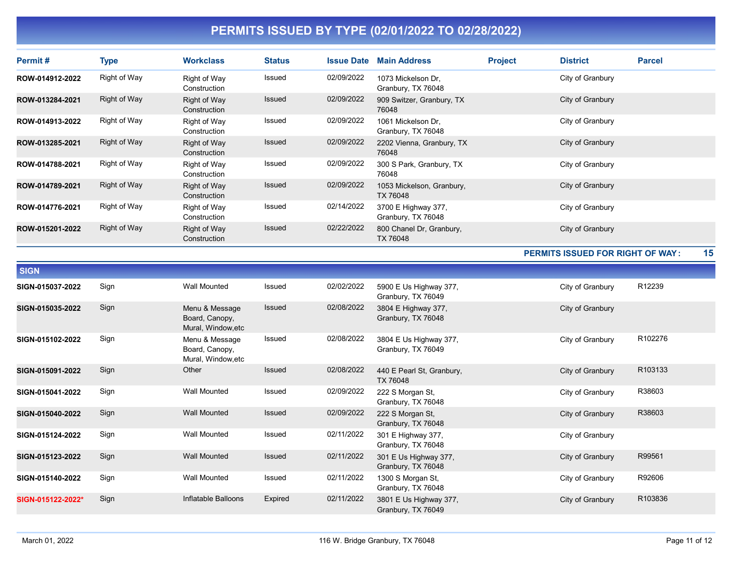| Permit#         | <b>Type</b>  | <b>Workclass</b>             | <b>Status</b> | <b>Issue Date</b> | <b>Main Address</b>                         | <b>Project</b> | <b>District</b>  | <b>Parcel</b> |
|-----------------|--------------|------------------------------|---------------|-------------------|---------------------------------------------|----------------|------------------|---------------|
| ROW-014912-2022 | Right of Way | Right of Way<br>Construction | Issued        | 02/09/2022        | 1073 Mickelson Dr.<br>Granbury, TX 76048    |                | City of Granbury |               |
| ROW-013284-2021 | Right of Way | Right of Way<br>Construction | Issued        | 02/09/2022        | 909 Switzer, Granbury, TX<br>76048          |                | City of Granbury |               |
| ROW-014913-2022 | Right of Way | Right of Way<br>Construction | Issued        | 02/09/2022        | 1061 Mickelson Dr.<br>Granbury, TX 76048    |                | City of Granbury |               |
| ROW-013285-2021 | Right of Way | Right of Way<br>Construction | Issued        | 02/09/2022        | 2202 Vienna, Granbury, TX<br>76048          |                | City of Granbury |               |
| ROW-014788-2021 | Right of Way | Right of Way<br>Construction | Issued        | 02/09/2022        | 300 S Park, Granbury, TX<br>76048           |                | City of Granbury |               |
| ROW-014789-2021 | Right of Way | Right of Way<br>Construction | Issued        | 02/09/2022        | 1053 Mickelson, Granbury,<br>TX 76048       |                | City of Granbury |               |
| ROW-014776-2021 | Right of Way | Right of Way<br>Construction | Issued        | 02/14/2022        | 3700 E Highway 377,<br>Granbury, TX 76048   |                | City of Granbury |               |
| ROW-015201-2022 | Right of Way | Right of Way<br>Construction | Issued        | 02/22/2022        | 800 Chanel Dr, Granbury,<br><b>TX 76048</b> |                | City of Granbury |               |

#### PERMITS ISSUED FOR RIGHT OF WAY : 15

| <b>SIGN</b>       |      |                                                        |               |            |                                              |                  |         |
|-------------------|------|--------------------------------------------------------|---------------|------------|----------------------------------------------|------------------|---------|
| SIGN-015037-2022  | Sign | <b>Wall Mounted</b>                                    | Issued        | 02/02/2022 | 5900 E Us Highway 377,<br>Granbury, TX 76049 | City of Granbury | R12239  |
| SIGN-015035-2022  | Sign | Menu & Message<br>Board, Canopy,<br>Mural, Window, etc | <b>Issued</b> | 02/08/2022 | 3804 E Highway 377,<br>Granbury, TX 76048    | City of Granbury |         |
| SIGN-015102-2022  | Sign | Menu & Message<br>Board, Canopy,<br>Mural, Window, etc | Issued        | 02/08/2022 | 3804 E Us Highway 377,<br>Granbury, TX 76049 | City of Granbury | R102276 |
| SIGN-015091-2022  | Sign | Other                                                  | <b>Issued</b> | 02/08/2022 | 440 E Pearl St, Granbury,<br>TX 76048        | City of Granbury | R103133 |
| SIGN-015041-2022  | Sign | <b>Wall Mounted</b>                                    | Issued        | 02/09/2022 | 222 S Morgan St,<br>Granbury, TX 76048       | City of Granbury | R38603  |
| SIGN-015040-2022  | Sign | <b>Wall Mounted</b>                                    | Issued        | 02/09/2022 | 222 S Morgan St,<br>Granbury, TX 76048       | City of Granbury | R38603  |
| SIGN-015124-2022  | Sign | <b>Wall Mounted</b>                                    | Issued        | 02/11/2022 | 301 E Highway 377,<br>Granbury, TX 76048     | City of Granbury |         |
| SIGN-015123-2022  | Sign | <b>Wall Mounted</b>                                    | <b>Issued</b> | 02/11/2022 | 301 E Us Highway 377,<br>Granbury, TX 76048  | City of Granbury | R99561  |
| SIGN-015140-2022  | Sign | <b>Wall Mounted</b>                                    | Issued        | 02/11/2022 | 1300 S Morgan St,<br>Granbury, TX 76048      | City of Granbury | R92606  |
| SIGN-015122-2022* | Sign | Inflatable Balloons                                    | Expired       | 02/11/2022 | 3801 E Us Highway 377,<br>Granbury, TX 76049 | City of Granbury | R103836 |